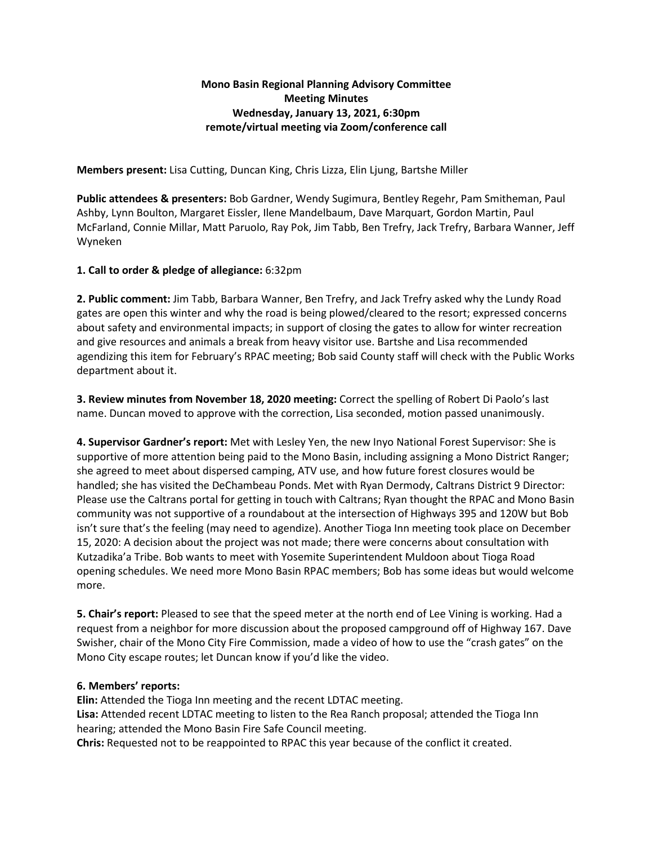# **Mono Basin Regional Planning Advisory Committee Meeting Minutes Wednesday, January 13, 2021, 6:30pm remote/virtual meeting via Zoom/conference call**

**Members present:** Lisa Cutting, Duncan King, Chris Lizza, Elin Ljung, Bartshe Miller

**Public attendees & presenters:** Bob Gardner, Wendy Sugimura, Bentley Regehr, Pam Smitheman, Paul Ashby, Lynn Boulton, Margaret Eissler, Ilene Mandelbaum, Dave Marquart, Gordon Martin, Paul McFarland, Connie Millar, Matt Paruolo, Ray Pok, Jim Tabb, Ben Trefry, Jack Trefry, Barbara Wanner, Jeff Wyneken

## **1. Call to order & pledge of allegiance:** 6:32pm

**2. Public comment:** Jim Tabb, Barbara Wanner, Ben Trefry, and Jack Trefry asked why the Lundy Road gates are open this winter and why the road is being plowed/cleared to the resort; expressed concerns about safety and environmental impacts; in support of closing the gates to allow for winter recreation and give resources and animals a break from heavy visitor use. Bartshe and Lisa recommended agendizing this item for February's RPAC meeting; Bob said County staff will check with the Public Works department about it.

**3. Review minutes from November 18, 2020 meeting:** Correct the spelling of Robert Di Paolo's last name. Duncan moved to approve with the correction, Lisa seconded, motion passed unanimously.

**4. Supervisor Gardner's report:** Met with Lesley Yen, the new Inyo National Forest Supervisor: She is supportive of more attention being paid to the Mono Basin, including assigning a Mono District Ranger; she agreed to meet about dispersed camping, ATV use, and how future forest closures would be handled; she has visited the DeChambeau Ponds. Met with Ryan Dermody, Caltrans District 9 Director: Please use the Caltrans portal for getting in touch with Caltrans; Ryan thought the RPAC and Mono Basin community was not supportive of a roundabout at the intersection of Highways 395 and 120W but Bob isn't sure that's the feeling (may need to agendize). Another Tioga Inn meeting took place on December 15, 2020: A decision about the project was not made; there were concerns about consultation with Kutzadika'a Tribe. Bob wants to meet with Yosemite Superintendent Muldoon about Tioga Road opening schedules. We need more Mono Basin RPAC members; Bob has some ideas but would welcome more.

**5. Chair's report:** Pleased to see that the speed meter at the north end of Lee Vining is working. Had a request from a neighbor for more discussion about the proposed campground off of Highway 167. Dave Swisher, chair of the Mono City Fire Commission, made a video of how to use the "crash gates" on the Mono City escape routes; let Duncan know if you'd like the video.

## **6. Members' reports:**

**Elin:** Attended the Tioga Inn meeting and the recent LDTAC meeting. **Lisa:** Attended recent LDTAC meeting to listen to the Rea Ranch proposal; attended the Tioga Inn hearing; attended the Mono Basin Fire Safe Council meeting. **Chris:** Requested not to be reappointed to RPAC this year because of the conflict it created.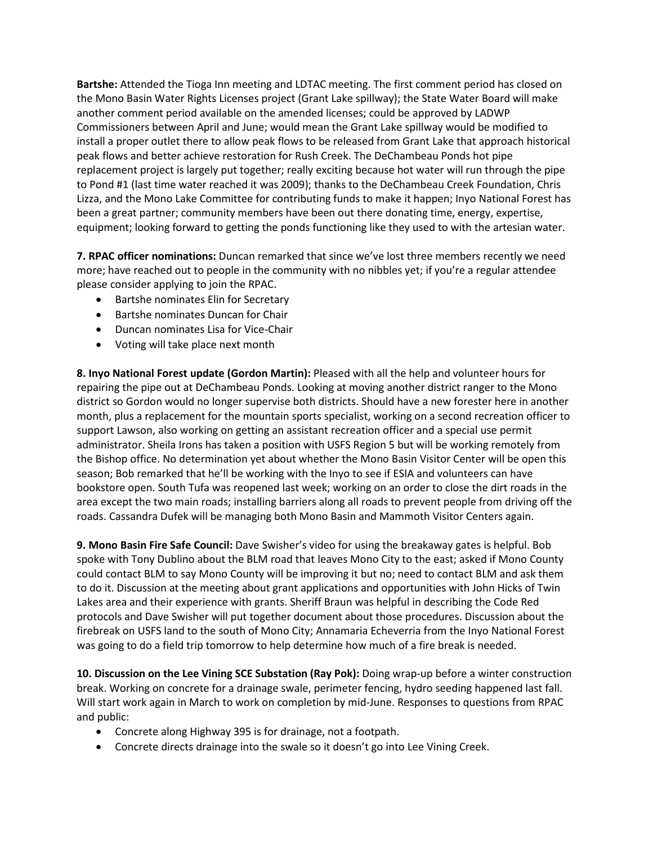**Bartshe:** Attended the Tioga Inn meeting and LDTAC meeting. The first comment period has closed on the Mono Basin Water Rights Licenses project (Grant Lake spillway); the State Water Board will make another comment period available on the amended licenses; could be approved by LADWP Commissioners between April and June; would mean the Grant Lake spillway would be modified to install a proper outlet there to allow peak flows to be released from Grant Lake that approach historical peak flows and better achieve restoration for Rush Creek. The DeChambeau Ponds hot pipe replacement project is largely put together; really exciting because hot water will run through the pipe to Pond #1 (last time water reached it was 2009); thanks to the DeChambeau Creek Foundation, Chris Lizza, and the Mono Lake Committee for contributing funds to make it happen; Inyo National Forest has been a great partner; community members have been out there donating time, energy, expertise, equipment; looking forward to getting the ponds functioning like they used to with the artesian water.

**7. RPAC officer nominations:** Duncan remarked that since we've lost three members recently we need more; have reached out to people in the community with no nibbles yet; if you're a regular attendee please consider applying to join the RPAC.

- Bartshe nominates Elin for Secretary
- Bartshe nominates Duncan for Chair
- Duncan nominates Lisa for Vice-Chair
- Voting will take place next month

**8. Inyo National Forest update (Gordon Martin):** Pleased with all the help and volunteer hours for repairing the pipe out at DeChambeau Ponds. Looking at moving another district ranger to the Mono district so Gordon would no longer supervise both districts. Should have a new forester here in another month, plus a replacement for the mountain sports specialist, working on a second recreation officer to support Lawson, also working on getting an assistant recreation officer and a special use permit administrator. Sheila Irons has taken a position with USFS Region 5 but will be working remotely from the Bishop office. No determination yet about whether the Mono Basin Visitor Center will be open this season; Bob remarked that he'll be working with the Inyo to see if ESIA and volunteers can have bookstore open. South Tufa was reopened last week; working on an order to close the dirt roads in the area except the two main roads; installing barriers along all roads to prevent people from driving off the roads. Cassandra Dufek will be managing both Mono Basin and Mammoth Visitor Centers again.

**9. Mono Basin Fire Safe Council:** Dave Swisher's video for using the breakaway gates is helpful. Bob spoke with Tony Dublino about the BLM road that leaves Mono City to the east; asked if Mono County could contact BLM to say Mono County will be improving it but no; need to contact BLM and ask them to do it. Discussion at the meeting about grant applications and opportunities with John Hicks of Twin Lakes area and their experience with grants. Sheriff Braun was helpful in describing the Code Red protocols and Dave Swisher will put together document about those procedures. Discussion about the firebreak on USFS land to the south of Mono City; Annamaria Echeverria from the Inyo National Forest was going to do a field trip tomorrow to help determine how much of a fire break is needed.

**10. Discussion on the Lee Vining SCE Substation (Ray Pok):** Doing wrap-up before a winter construction break. Working on concrete for a drainage swale, perimeter fencing, hydro seeding happened last fall. Will start work again in March to work on completion by mid-June. Responses to questions from RPAC and public:

- Concrete along Highway 395 is for drainage, not a footpath.
- Concrete directs drainage into the swale so it doesn't go into Lee Vining Creek.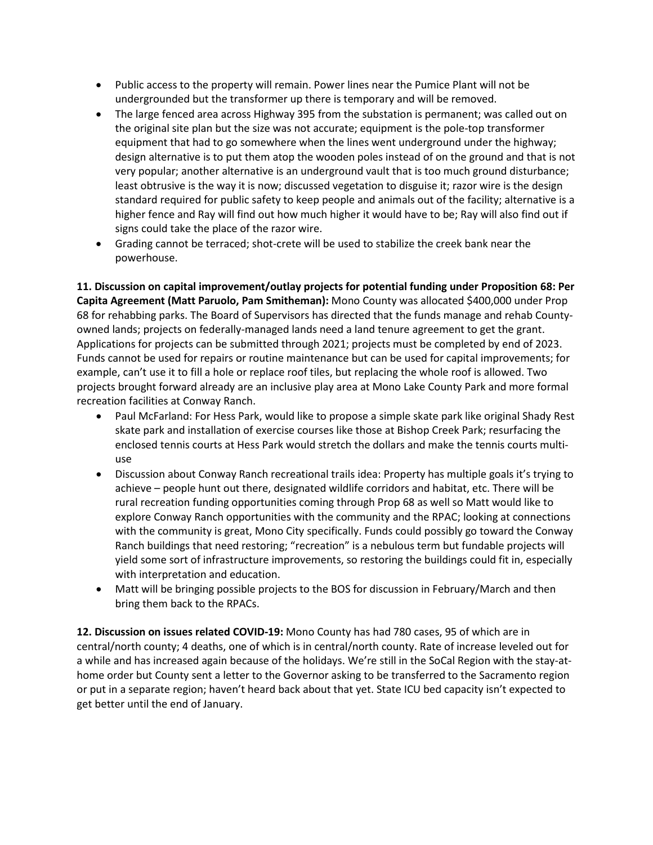- Public access to the property will remain. Power lines near the Pumice Plant will not be undergrounded but the transformer up there is temporary and will be removed.
- The large fenced area across Highway 395 from the substation is permanent; was called out on the original site plan but the size was not accurate; equipment is the pole-top transformer equipment that had to go somewhere when the lines went underground under the highway; design alternative is to put them atop the wooden poles instead of on the ground and that is not very popular; another alternative is an underground vault that is too much ground disturbance; least obtrusive is the way it is now; discussed vegetation to disguise it; razor wire is the design standard required for public safety to keep people and animals out of the facility; alternative is a higher fence and Ray will find out how much higher it would have to be; Ray will also find out if signs could take the place of the razor wire.
- Grading cannot be terraced; shot-crete will be used to stabilize the creek bank near the powerhouse.

**11. Discussion on capital improvement/outlay projects for potential funding under Proposition 68: Per Capita Agreement (Matt Paruolo, Pam Smitheman):** Mono County was allocated \$400,000 under Prop 68 for rehabbing parks. The Board of Supervisors has directed that the funds manage and rehab Countyowned lands; projects on federally-managed lands need a land tenure agreement to get the grant. Applications for projects can be submitted through 2021; projects must be completed by end of 2023. Funds cannot be used for repairs or routine maintenance but can be used for capital improvements; for example, can't use it to fill a hole or replace roof tiles, but replacing the whole roof is allowed. Two projects brought forward already are an inclusive play area at Mono Lake County Park and more formal recreation facilities at Conway Ranch.

- Paul McFarland: For Hess Park, would like to propose a simple skate park like original Shady Rest skate park and installation of exercise courses like those at Bishop Creek Park; resurfacing the enclosed tennis courts at Hess Park would stretch the dollars and make the tennis courts multiuse
- Discussion about Conway Ranch recreational trails idea: Property has multiple goals it's trying to achieve – people hunt out there, designated wildlife corridors and habitat, etc. There will be rural recreation funding opportunities coming through Prop 68 as well so Matt would like to explore Conway Ranch opportunities with the community and the RPAC; looking at connections with the community is great, Mono City specifically. Funds could possibly go toward the Conway Ranch buildings that need restoring; "recreation" is a nebulous term but fundable projects will yield some sort of infrastructure improvements, so restoring the buildings could fit in, especially with interpretation and education.
- Matt will be bringing possible projects to the BOS for discussion in February/March and then bring them back to the RPACs.

**12. Discussion on issues related COVID-19:** Mono County has had 780 cases, 95 of which are in central/north county; 4 deaths, one of which is in central/north county. Rate of increase leveled out for a while and has increased again because of the holidays. We're still in the SoCal Region with the stay-athome order but County sent a letter to the Governor asking to be transferred to the Sacramento region or put in a separate region; haven't heard back about that yet. State ICU bed capacity isn't expected to get better until the end of January.